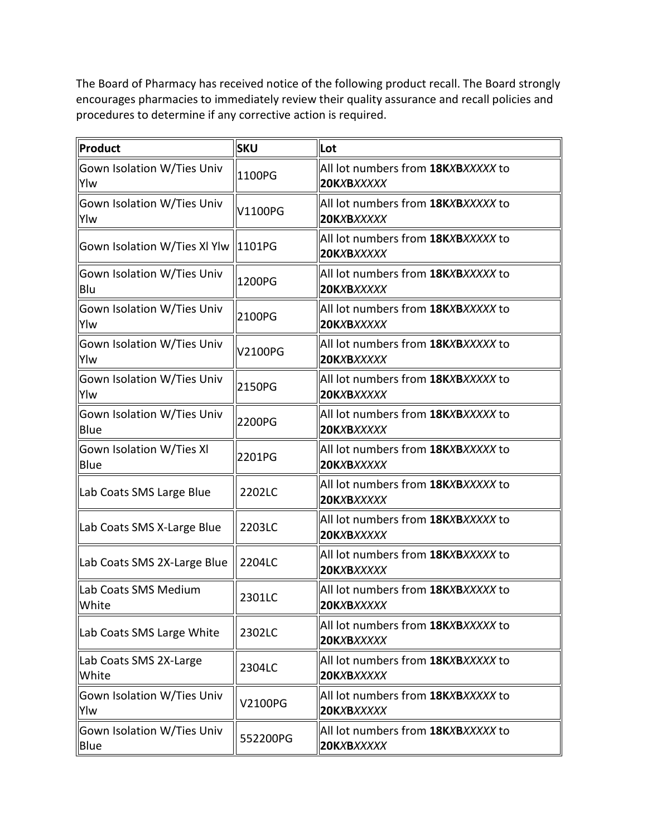The Board of Pharmacy has received notice of the following product recall. The Board strongly encourages pharmacies to immediately review their quality assurance and recall policies and procedures to determine if any corrective action is required.

| Product                                | <b>SKU</b> | lLot                                                             |
|----------------------------------------|------------|------------------------------------------------------------------|
| Gown Isolation W/Ties Univ<br>Ylw      | 1100PG     | All lot numbers from 18KXBXXXXX to<br>20KXBXXXXX                 |
| Gown Isolation W/Ties Univ<br>Ylw      | V1100PG    | All lot numbers from <b>18KXBXXXXX</b> to<br>20KXBXXXXX          |
| Gown Isolation W/Ties Xl Ylw           | 1101PG     | All lot numbers from 18KXBXXXXX to<br>20KXBXXXXX                 |
| Gown Isolation W/Ties Univ<br>Blu      | 1200PG     | All lot numbers from <b>18K</b> XBXXXXX to<br>20KXBXXXXX         |
| Gown Isolation W/Ties Univ<br>Ylw      | 2100PG     | All lot numbers from 18KXBXXXXX to<br>20KXBXXXXX                 |
| Gown Isolation W/Ties Univ<br>Ylw      | V2100PG    | All lot numbers from 18KXBXXXXX to<br>20KXBXXXXX                 |
| Gown Isolation W/Ties Univ<br>Ylw      | 2150PG     | All lot numbers from 18KXBXXXXX to<br>20KXBXXXXX                 |
| Gown Isolation W/Ties Univ<br>Blue     | 2200PG     | All lot numbers from <b>18K</b> XB <i>XXXXX</i> to<br>20KXBXXXXX |
| Gown Isolation W/Ties XI<br>Blue       | 2201PG     | All lot numbers from 18KXBXXXXX to<br>20KXBXXXXX                 |
| Lab Coats SMS Large Blue               | 2202LC     | All lot numbers from 18KXBXXXXX to<br>20KXBXXXXX                 |
| Lab Coats SMS X-Large Blue             | 2203LC     | All lot numbers from 18KXBXXXXX to<br>20KXBXXXXX                 |
| Lab Coats SMS 2X-Large Blue            | 2204LC     | All lot numbers from 18KXBXXXXX to<br>20KXBXXXXX                 |
| llLab Coats SMS Medium<br><b>White</b> | 2301LC     | All lot numbers from <b>18KXBXXXXX</b> to<br>20KXBXXXXX          |
| Lab Coats SMS Large White              | 2302LC     | All lot numbers from 18KXBXXXXX to<br>20KXBXXXXX                 |
| Lab Coats SMS 2X-Large<br>White        | 2304LC     | All lot numbers from 18KXBXXXXX to<br>20KXBXXXXX                 |
| Gown Isolation W/Ties Univ<br>Ylw      | V2100PG    | All lot numbers from 18KXBXXXXX to<br>20KXBXXXXX                 |
| Gown Isolation W/Ties Univ<br>Blue     | 552200PG   | All lot numbers from 18KXBXXXXX to<br>20KXBXXXXX                 |